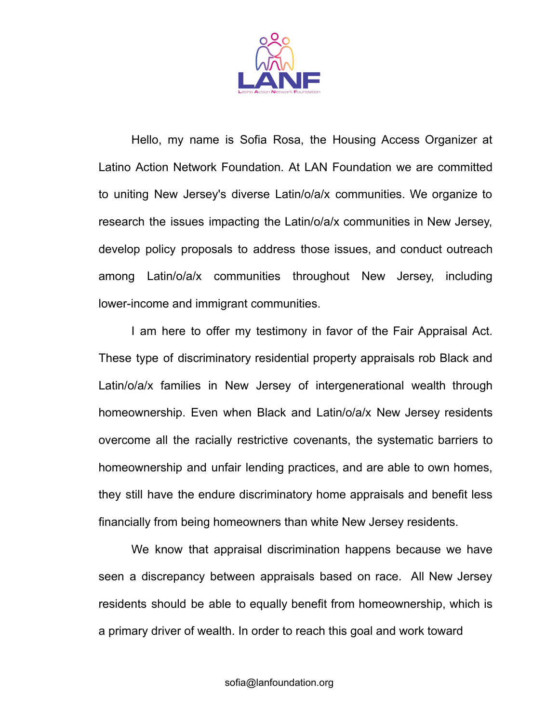

Hello, my name is Sofia Rosa, the Housing Access Organizer at Latino Action Network Foundation. At LAN Foundation we are committed to uniting New Jersey's diverse Latin/o/a/x communities. We organize to research the issues impacting the Latin/o/a/x communities in New Jersey, develop policy proposals to address those issues, and conduct outreach among Latin/o/a/x communities throughout New Jersey, including lower-income and immigrant communities.

I am here to offer my testimony in favor of the Fair Appraisal Act. These type of discriminatory residential property appraisals rob Black and Latin/o/a/x families in New Jersey of intergenerational wealth through homeownership. Even when Black and Latin/o/a/x New Jersey residents overcome all the racially restrictive covenants, the systematic barriers to homeownership and unfair lending practices, and are able to own homes, they still have the endure discriminatory home appraisals and benefit less financially from being homeowners than white New Jersey residents.

We know that appraisal discrimination happens because we have seen a discrepancy between appraisals based on race. All New Jersey residents should be able to equally benefit from homeownership, which is a primary driver of wealth. In order to reach this goal and work toward